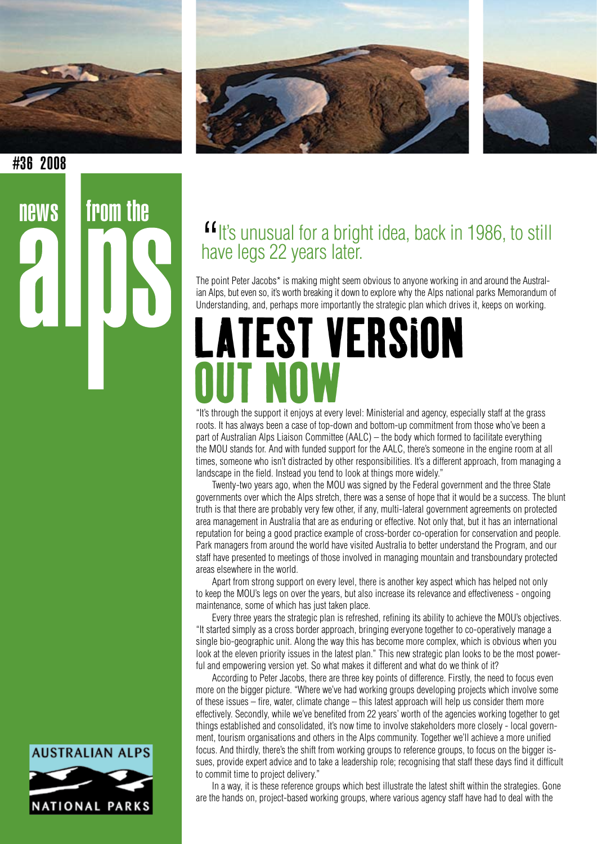

 $news$  from the





#36 2008

## **"**It's unusual for a bright idea, back in 1986, to still have legs 22 years later. have legs 22 years later.

The point Peter Jacobs<sup>\*</sup> is making might seem obvious to anyone working in and around the Australian Alps, but even so, it's worth breaking it down to explore why the Alps national parks Memorandum of Understanding, and, perhaps more importantly the strategic plan which drives it, keeps on working.

## LATEST VERSION OUT NOW

"It's through the support it enjoys at every level: Ministerial and agency, especially staff at the grass roots. It has always been a case of top-down and bottom-up commitment from those who've been a part of Australian Alps Liaison Committee (AALC) – the body which formed to facilitate everything the MOU stands for. And with funded support for the AALC, there's someone in the engine room at all times, someone who isn't distracted by other responsibilities. It's a different approach, from managing a landscape in the field. Instead you tend to look at things more widely."

Twenty-two years ago, when the MOU was signed by the Federal government and the three State governments over which the Alps stretch, there was a sense of hope that it would be a success. The blunt truth is that there are probably very few other, if any, multi-lateral government agreements on protected area management in Australia that are as enduring or effective. Not only that, but it has an international reputation for being a good practice example of cross-border co-operation for conservation and people. Park managers from around the world have visited Australia to better understand the Program, and our staff have presented to meetings of those involved in managing mountain and transboundary protected areas elsewhere in the world.

Apart from strong support on every level, there is another key aspect which has helped not only to keep the MOU's legs on over the years, but also increase its relevance and effectiveness - ongoing maintenance, some of which has just taken place.

Every three years the strategic plan is refreshed, refining its ability to achieve the MOU's objectives. "It started simply as a cross border approach, bringing everyone together to co-operatively manage a single bio-geographic unit. Along the way this has become more complex, which is obvious when you look at the eleven priority issues in the latest plan." This new strategic plan looks to be the most powerful and empowering version yet. So what makes it different and what do we think of it?

According to Peter Jacobs, there are three key points of difference. Firstly, the need to focus even more on the bigger picture. "Where we've had working groups developing projects which involve some of these issues – fire, water, climate change – this latest approach will help us consider them more effectively. Secondly, while we've benefited from 22 years' worth of the agencies working together to get things established and consolidated, it's now time to involve stakeholders more closely - local government, tourism organisations and others in the Alps community. Together we'll achieve a more unified focus. And thirdly, there's the shift from working groups to reference groups, to focus on the bigger issues, provide expert advice and to take a leadership role; recognising that staff these days find it difficult to commit time to project delivery."

In a way, it is these reference groups which best illustrate the latest shift within the strategies. Gone are the hands on, project-based working groups, where various agency staff have had to deal with the

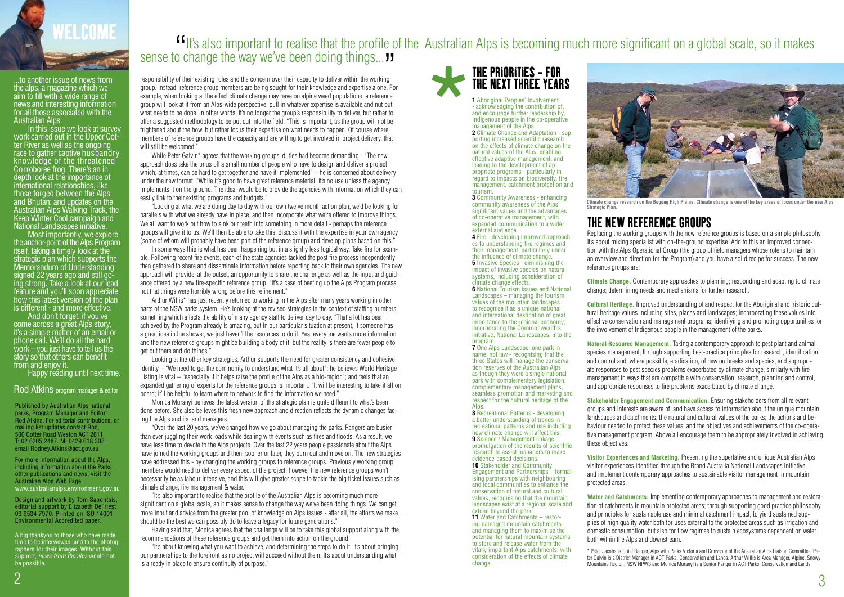Published by Australian Alps national parks, Program Manager and Editor: Rod Atkins. For editorial contributions, or mailing list updates contact Rod, 500 Cotter Road Weston ACT 2611 T: 02 6205 2487. M: 0429 618 308 email Rodney.Atkins@act.gov.au

A big thankyou to those who have made time to be interviewed; and to the photographers for their images. Without this support, *news from the alps* would not be possible

## It's also important to realise that the profile of the Australian Alps is becoming much more significant on a global scale, so it makes Sense to change the way we've been doing things... "<br>
responsibility of their existing roles and the concern over their capacity to deliver within the working<br>
responsibility of their existing roles and the concern over th

For more information about the Alps, including information about the Parks, other publications and news, visit the Australian Alps Web Page. www.australianalps.environment.gov.au

Design and artwork by Tom Sapontsis, editorial support by Elizabeth DeFriest 03 9534 7970. Printed on ISO 14001 Environmental Accredited paper.

In this issue we look at survey work carried out in the Upper Cot-<br>ter River as well as the ongoing race to gather captive husbandry knowledge of the threatened Corroboree frog. There's an in depth look at the importance of international relationships, like those forged between the Alps and Bhutan: and updates on the Australian Alps Walking Track, the Keep Winter Cool campaign and National Landscapes initiative.

...to another issue of news from the alps, a magazine which we aim to fill with a wide range of news and interesting information for all those associated with the Australian Alps.

Most importantly, we explore the anchor-point of the Alps Program itself, taking a timely look at the strategic plan which supports the Memorandum of Understanding signed 22 years ago and still go-<br>ing strong. Take a look at our lead feature and you'll soon appreciate how this latest version of the plan is different - and more effective.

While Peter Galvin\* agrees that the working groups' duties had become demanding - "The new approach does take the onus off a small number of people who have to design and deliver a project which, at times, can be hard to get together and have it implemented" – he is concerned about delivery under the new format. "While it's good to have great reference material, it's no use unless the agency implements it on the ground. The ideal would be to provide the agencies with information which they can easily link to their existing programs and budgets."

And don't forget, if you've come across a great Alps story, it's a simple matter of an email or phone call. We'll do all the hard work – you just have to tell us the story so that others can benefit from and enjoy it.

Happy reading until next time.

### Rod Atkins program manager & editor



responsibility of their existing roles and the concern over their capacity to deliver within the working group. Instead, reference group members are being sought for their knowledge and expertise alone. For example, when looking at the effect climate change may have on alpine weed populations, a reference group will look at it from an Alps-wide perspective, pull in whatever expertise is available and nut out what needs to be done. In other words, it's no longer the group's responsibility to deliver, but rather to offer a suggested methodology to be put out into the field. "This is important, as the group will not be frightened about the how, but rather focus their expertise on what needs to happen. Of course where members of reference groups have the capacity and are willing to get involved in project delivery, that will still be welcomed."

"Looking at what we are doing day to day with our own twelve month action plan, we'd be looking for parallels with what we already have in place, and then incorporate what we're offered to improve things. We all want to work out how to sink our teeth into something in more detail - perhaps the reference groups will give it to us. We'll then be able to take this, discuss it with the expertise in your own agency (some of whom will probably have been part of the reference group) and develop plans based on this."

In some ways this is what has been happening but in a slightly less logical way. Take fire for example. Following recent fire events, each of the state agencies tackled the post fire process independently then gathered to share and disseminate information before reporting back to their own agencies. The new approach will provide, at the outset, an opportunity to share the challenge as well as the input and guidance offered by a new fire-specific reference group. "It's a case of beefing up the Alps Program process, not that things were horribly wrong before this refinement."

Arthur Willis\* has just recently returned to working in the Alps after many years working in other parts of the NSW parks system. He's looking at the revised strategies in the context of staffing numbers, something which affects the ability of many agency staff to deliver day to day. "That a lot has been achieved by the Program already is amazing, but in our particular situation at present, if someone has a great idea in the shower, we just haven't the resources to do it. Yes, everyone wants more information and the new reference groups might be building a body of it, but the reality is there are fewer people to get out there and do things."

Looking at the other key strategies, Arthur supports the need for greater consistency and cohesive identity – "We need to get the community to understand what it's all about"; he believes World Heritage Listing is vital – "especially if it helps raise the profile of the Alps as a bio-region"; and feels that an expanded gathering of experts for the reference groups is important. "It will be interesting to take it all on board; it'll be helpful to learn where to network to find the information we need."

Monica Muranyi believes the latest version of the strategic plan is quite different to what's been done before. She also believes this fresh new approach and direction reflects the dynamic changes facing the Alps and its land managers.

"Over the last 20 years, we've changed how we go about managing the parks. Rangers are busier than ever juggling their work loads while dealing with events such as fires and floods. As a result, we have less time to devote to the Alps projects. Over the last 22 years people passionate about the Alps have joined the working groups and then, sooner or later, they burn out and move on. The new strategies have addressed this - by changing the working groups to reference groups. Previously working group members would need to deliver every aspect of the project, however the new reference groups won't necessarily be as labour intensive, and this will give greater scope to tackle the big ticket issues such as climate change, fire management & water."

"It's also important to realise that the profile of the Australian Alps is becoming much more significant on a global scale, so it makes sense to change the way we've been doing things. We can get more input and advice from the greater pool of knowledge on Alps issues - after all, the efforts we make should be the best we can possibly do to leave a legacy for future generations."

Having said that, Monica agrees that the challenge will be to take this global support along with the recommendations of these reference groups and get them into action on the ground.

"It's about knowing what you want to achieve, and determining the steps to do it. It's about bringing our partnerships to the forefront as no project will succeed without them. It's about understanding what is already in place to ensure continuity of purpose."

**1** Aboriginal Peoples' Involvement - acknowledging the contribution of, and encourage further leadership by, Indigenous people in the co-operative management of the Alps.

**2** Climate Change and Adaptation - supporting increased scientific research on the effects of climate change on the natural values of the Alps, enabling effective adaptive management, and leading to the development of appropriate programs - particularly in regard to impacts on biodiversity, fire management, catchment protection and tourism.

**3** Community Awareness - enhancing community awareness of the Alps' significant values and the advantages of co-operative management, with expanded communication to a wider external audience.

**4** Fire - developing improved approaches to understanding fire regimes and their management, particularly under the influence of climate change. **5** Invasive Species - diminishing the impact of invasive species on natural systems, including consideration of climate change effects.

**6** National Tourism issues and National Landscapes – managing the tourism values of the mountain landscapes to recognise it as a unique national and international destination of great importance to the regional economy; incorporating the Commonwealth's initiative, National Landscapes, into the program.

**7** One Alps Landscape: one park in name, not law - recognising that the three States will manage the conservation reserves of the Australian Alps as though they were a single national park with complementary legislation, complementary management plans, seamless promotion and marketing and respect for the cultural heritage of the **Alps** 

**8** Recreational Patterns - developing a better understanding of trends in recreational patterns and use including how climate change will affect this. **9** Science / Management linkage promulgation of the results of scientific research to assist managers to make evidence-based decisions. **10** Stakeholder and Community Engagement and Partnerships – formalising partnerships with neighbouring and local communities to enhance the conservation of natural and cultural values, recognising that the mountain landscapes exist at a regional scale and extend beyond the park. **11 Water and Catchments – restor**ing damaged mountain catchments

and managing them to maximise the potential for natural mountain systems to store and release water from the vitally important Alps catchments, with consideration of the effects of climate change.



## THE NEW REFERENCE GROUPS

## THE PRIORITIES - FOR THE NEXT THREE YEARS \*

Replacing the working groups with the new reference groups is based on a simple philosophy. It's about mixing specialist with on-the-ground expertise. Add to this an improved connection with the Alps Operational Group (the group of field managers whose role is to maintain an overview and direction for the Program) and you have a solid recipe for success. The new reference groups are:

**Climate Change.** Contemporary approaches to planning; responding and adapting to climate change; determining needs and mechanisms for further research.

**Cultural Heritage.** Improved understanding of and respect for the Aboriginal and historic cultural heritage values including sites, places and landscapes; incorporating these values into effective conservation and management programs; identifying and promoting opportunities for the involvement of Indigenous people in the management of the parks.

**Natural Resource Management.** Taking a contemporary approach to pest plant and animal species management, through supporting best-practice principles for research, identification and control and, where possible, eradication, of new outbreaks and species, and appropriate responses to pest species problems exacerbated by climate change; similarly with fire management in ways that are compatible with conservation, research, planning and control, and appropriate responses to fire problems exacerbated by climate change.

**Stakeholder Engagement and Communication.** Ensuring stakeholders from all relevant groups and interests are aware of, and have access to information about the unique mountain landscapes and catchments; the natural and cultural values of the parks; the actions and behaviour needed to protect these values; and the objectives and achievements of the co-operative management program. Above all encourage them to be appropriately involved in achieving these objectives.

**Visitor Experiences and Marketing.** Presenting the superlative and unique Australian Alps visitor experiences identified through the Brand Australia National Landscapes Initiative, and implement contemporary approaches to sustainable visitor management in mountain

protected areas.

**Water and Catchments.** Implementing contemporary approaches to management and restoration of catchments in mountain protected areas; through supporting good practice philosophy and principles for sustainable use and minimal catchment impact, to yield sustained supplies of high quality water both for uses external to the protected areas such as irrigation and domestic consumption, but also for flow regimes to sustain ecosystems dependent on water both within the Alps and downstream.

\* Peter Jacobs is Chief Ranger, Alps with Parks Victoria and Convenor of the Australian Alps Liaison Committee. Peter Galvin is a District Manager in ACT Parks, Conservation and Lands. Arthur Willis is Area Manager, Alpine, Snowy Mountains Region, NSW NPWS and Monica Muranyi is a Senior Ranger in ACT Parks, Conservation and Lands

**Climate change research on the Bogong High Plains. Climate change is one of the key areas of focus under the new Alps Strategic Plan.**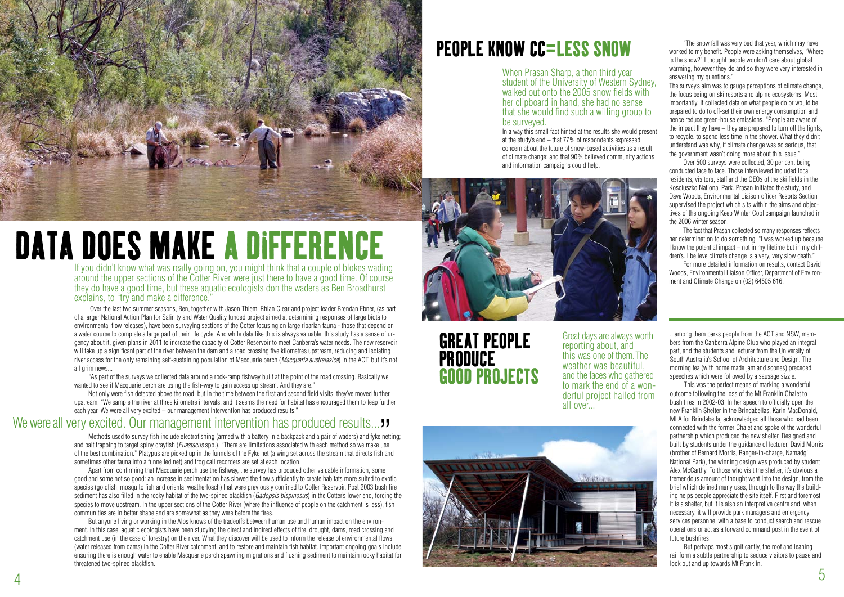If you didn't know what was really going on, you might think that a couple of blokes wading around the upper sections of the Cotter River were just there to have a good time. Of course they do have a good time, but these aquatic ecologists don the waders as Ben Broadhurst explains, to "try and make a difference.





 Over the last two summer seasons, Ben, together with Jason Thiem, Rhian Clear and project leader Brendan Ebner, (as part of a larger National Action Plan for Salinity and Water Quality funded project aimed at determining responses of large biota to environmental flow releases), have been surveying sections of the Cotter focusing on large riparian fauna - those that depend on a water course to complete a large part of their life cycle. And while data like this is always valuable, this study has a sense of urgency about it, given plans in 2011 to increase the capacity of Cotter Reservoir to meet Canberra's water needs. The new reservoir will take up a significant part of the river between the dam and a road crossing five kilometres upstream, reducing and isolating river access for the only remaining self-sustaining population of Macquarie perch (*Macquaria australasica*) in the ACT, but it's not all grim news...

"As part of the surveys we collected data around a rock-ramp fishway built at the point of the road crossing. Basically we wanted to see if Macquarie perch are using the fish-way to gain access up stream. And they are."

Methods used to survey fish include electrofishing (armed with a battery in a backpack and a pair of waders) and fyke netting; and bait trapping to target spiny crayfish (*Euastacus* spp.). "There are limitations associated with each method so we make use of the best combination." Platypus are picked up in the funnels of the Fyke net (a wing set across the stream that directs fish and sometimes other fauna into a funnelled net) and frog call recorders are set at each location. We were all very excited. Our management intervention has produced results... "<br>Methods used to survey fish include electrofishing (armed with a battery in a backpack and a pair of waders) and fyke nett<br>and bait trapping t

Not only were fish detected above the road, but in the time between the first and second field visits, they've moved further upstream. "We sample the river at three kilometre intervals, and it seems the need for habitat has encouraged them to leap further each year. We were all very excited – our management intervention has produced results."

Apart from confirming that Macquarie perch use the fishway, the survey has produced other valuable information, some good and some not so good: an increase in sedimentation has slowed the flow sufficiently to create habitats more suited to exotic species (goldfish, mosquito fish and oriental weatherloach) that were previously confined to Cotter Reservoir. Post 2003 bush fire sediment has also filled in the rocky habitat of the two-spined blackfish (*Gadopsis bispinosus*) in the Cotter's lower end, forcing the species to move upstream. In the upper sections of the Cotter River (where the influence of people on the catchment is less), fish communities are in better shape and are somewhat as they were before the fires.

But anyone living or working in the Alps knows of the tradeoffs between human use and human impact on the environment. In this case, aquatic ecologists have been studying the direct and indirect effects of fire, drought, dams, road crossing and catchment use (in the case of forestry) on the river. What they discover will be used to inform the release of environmental flows (water released from dams) in the Cotter River catchment, and to restore and maintain fish habitat. Important ongoing goals include ensuring there is enough water to enable Macquarie perch spawning migrations and flushing sediment to maintain rocky habitat for threatened two-spined blackfish.

# DATA DOES MAKE A DIFFERENCE

When Prasan Sharp, a then third year student of the University of Western Sydney, walked out onto the 2005 snow fields with her clipboard in hand, she had no sense that she would find such a willing group to be surveyed.

In a way this small fact hinted at the results she would present at the study's end – that 77% of respondents expressed concern about the future of snow-based activities as a result of climate change; and that 90% believed community actions and information campaigns could help.





## PEOPLE KNOW CC=LESS SNOW

...among them parks people from the ACT and NSW, members from the Canberra Alpine Club who played an integral part, and the students and lecturer from the University of South Australia's School of Architecture and Design. The morning tea (with home made jam and scones) preceded speeches which were followed by a sausage sizzle.

This was the perfect means of marking a wonderful outcome following the loss of the Mt Franklin Chalet to bush fires in 2002-03. In her speech to officially open the new Franklin Shelter in the Brindabellas, Karin MacDonald, MLA for Brindabella, acknowledged all those who had been connected with the former Chalet and spoke of the wonderful partnership which produced the new shelter. Designed and built by students under the guidance of lecturer, David Morris (brother of Bernard Morris, Ranger-in-charge, Namadgi National Park), the winning design was produced by student Alex McCarthy. To those who visit the shelter, it's obvious a tremendous amount of thought went into the design, from the brief which defined many uses, through to the way the building helps people appreciate the site itself. First and foremost it is a shelter, but it is also an interpretive centre and, when necessary, it will provide park managers and emergency services personnel with a base to conduct search and rescue operations or act as a forward command post in the event of future bushfires.

But perhaps most significantly, the roof and leaning rail form a subtle partnership to seduce visitors to pause and look out and up towards Mt Franklin.

GREAT PEOPLE PRODUCE GOOD PROJECTS

"The snow fall was very bad that year, which may have worked to my benefit. People were asking themselves. "Where is the snow?" I thought people wouldn't care about global warming, however they do and so they were very interested in answering my questions."

The survey's aim was to gauge perceptions of climate change, the focus being on ski resorts and alpine ecosystems. Most importantly, it collected data on what people do or would be prepared to do to off-set their own energy consumption and hence reduce green-house emissions. "People are aware of the impact they have – they are prepared to turn off the lights, to recycle, to spend less time in the shower. What they didn't understand was why, if climate change was so serious, that the government wasn't doing more about this issue."

Over 500 surveys were collected, 30 per cent being conducted face to face. Those interviewed included local residents, visitors, staff and the CEOs of the ski fields in the Kosciuszko National Park. Prasan initiated the study, and Dave Woods, Environmental Liaison officer Resorts Section supervised the project which sits within the aims and objectives of the ongoing Keep Winter Cool campaign launched in the 2006 winter season.

The fact that Prasan collected so many responses reflects her determination to do something. "I was worked up because I know the potential impact – not in my lifetime but in my children's. I believe climate change is a very, very slow death."

For more detailed information on results, contact David Woods, Environmental Liaison Officer, Department of Environment and Climate Change on (02) 64505 616.

Great days are always worth reporting about, and this was one of them. The weather was beautiful, and the faces who gathered<br>to mark the end of a wonderful project hailed from all over...

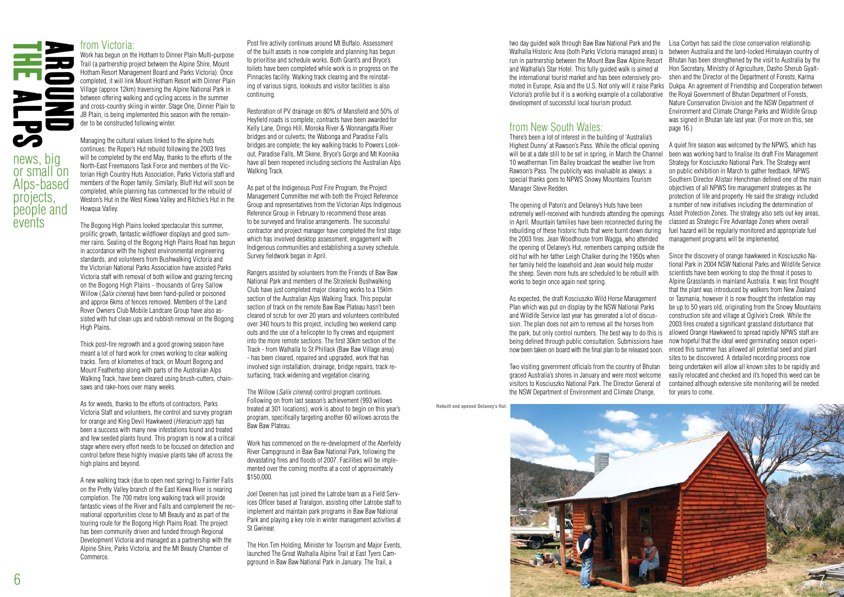### from Victoria:

Work has begun on the Hotham to Dinner Plain Multi-purpose Trail (a partnership project between the Alpine Shire, Mount Hotham Resort Management Board and Parks Victoria). Once completed, it will link Mount Hotham Resort with Dinner Plain Village (approx 12km) traversing the Alpine National Park in between offering walking and cycling access in the summer and cross-country skiing in winter. Stage One, Dinner Plain to JB Plain, is being implemented this season with the remainder to be constructed following winter.

Managing the cultural values linked to the alpine huts continues: the Roper's Hut rebuild following the 2003 fires will be completed by the end May, thanks to the efforts of the North-East Freemasons Task Force and members of the Victorian High Country Huts Association, Parks Victoria staff and members of the Roper family. Similarly, Bluff Hut will soon be completed, while planning has commenced for the rebuild of Weston's Hut in the West Kiewa Valley and Ritchie's Hut in the Howqua Valley.

The Bogong High Plains looked spectacular this summer, prolific growth, fantastic wildflower displays and good summer rains. Sealing of the Bogong High Plains Road has begun in accordance with the highest environmental engineering standards, and volunteers from Bushwalking Victoria and the Victorian National Parks Association have assisted Parks Victoria staff with removal of both willow and grazing fencing on the Bogong High Plains - thousands of Grey Sallow Willow (*Salix cinerea*) have been hand-pulled or poisoned and approx 6kms of fences removed. Members of the Land Rover Owners Club Mobile Landcare Group have also assisted with hut clean ups and rubbish removal on the Bogong High Plains.

Thick post-fire regrowth and a good growing season have meant a lot of hard work for crews working to clear walking tracks. Tens of kilometres of track, on Mount Bogong and Mount Feathertop along with parts of the Australian Alps Walking Track, have been cleared using brush-cutters, chainsaws and rake-hoes over many weeks.

As for weeds, thanks to the efforts of contractors, Parks Victoria Staff and volunteers, the control and survey program for orange and King Devil Hawkweed (*Hieracium spp*) has been a success with many new infestations found and treated and few seeded plants found. This program is now at a critical stage where every effort needs to be focused on detection and control before these highly invasive plants take off across the high plains and beyond.

A new walking track (due to open next spring) to Fainter Falls on the Pretty Valley branch of the East Kiewa River is nearing completion. The 700 metre long walking track will provide fantastic views of the River and Falls and complement the recreational opportunities close to Mt Beauty and as part of the touring route for the Bogong High Plains Road. The project has been community driven and funded through Regional Development Victoria and managed as a partnership with the Alpine Shire, Parks Victoria, and the Mt Beauty Chamber of Commerce.



Post fire activity continues around Mt Buffalo. Assessment of the built assets is now complete and planning has begun to prioritise and schedule works. Both Grant's and Bryce's toilets have been completed while work is in progress on the Pinnacles facility. Walking track clearing and the reinstating of various signs, lookouts and visitor facilities is also continuing.

Restoration of PV drainage on 80% of Mansfield and 50% of Heyfield roads is complete; contracts have been awarded for Kelly Lane, Dingo Hill, Moroka River & Wonnangatta River bridges and or culverts; the Wabonga and Paradise Falls bridges are complete; the key walking tracks to Powers Lookout, Paradise Falls, Mt Skene, Bryce's Gorge and Mt Koonika have all been reopened including sections the Australian Alps Walking Track.

As part of the Indigenous Post Fire Program, the Project Management Committee met with both the Project Reference Group and representatives from the Victorian Alps Indigenous Reference Group in February to recommend those areas to be surveyed and finalise arrangements. The successful contractor and project manager have completed the first stage which has involved desktop assessment, engagement with Indigenous communities and establishing a survey schedule. Survey fieldwork began in April.

Rangers assisted by volunteers from the Friends of Baw Baw National Park and members of the Strzelecki Bushwalking Club have just completed major clearing works to a 15klm section of the Australian Alps Walking Track. This popular section of track on the remote Baw Baw Plateau hasn't been cleared of scrub for over 20 years and volunteers contributed over 340 hours to this project, including two weekend camp outs and the use of a helicopter to fly crews and equipment into the more remote sections. The first 30km section of the Track - from Walhalla to St Phillack (Baw Baw Village area) - has been cleared, repaired and upgraded, work that has involved sign installation, drainage, bridge repairs, track resurfacing, track widening and vegetation clearing.

The Willow (*Salix cinerea*) control program continues. Following on from last season's achievement (993 willows treated at 301 locations), work is about to begin on this year's program, specifically targeting another 60 willows across the Baw Baw Plateau.

Work has commenced on the re-development of the Aberfeldy River Campground in Baw Baw National Park, following the devastating fires and floods of 2007. Facilities will be implemented over the coming months at a cost of approximately \$150,000.

Joel Deenen has just joined the Latrobe team as a Field Services Officer based at Traralgon, assisting other Latrobe staff to implement and maintain park programs in Baw Baw National Park and playing a key role in winter management activities at St Gwinear.

The Hon.Tim Holding, Minister for Tourism and Major Events, launched The Great Walhalla Alpine Trail at East Tyers Campground in Baw Baw National Park in January. The Trail, a

<sup>6</sup> <sup>7</sup> THE AROUND ALPS two day guided walk through Baw Baw National Park and the Walhalla Historic Area (both Parks Victoria managed areas) is between Australia and the land-locked Himalayan country of run in partnership between the Mount Baw Baw Alpine Resort and Walhalla's Star Hotel. This fully guided walk is aimed at the international tourist market and has been extensively promoted in Europe, Asia and the U.S. Not only will it raise Parks Dukpa. An agreement of Friendship and Cooperation between Victoria's profile but it is a working example of a collaborative the Royal Government of Bhutan Department of Forests, development of successful local tourism product. Lisa Corbyn has said the close conservation relationship Bhutan has been strengthened by the visit to Australia by the Hon Secretary, Ministry of Agriculture, Dasho Sherub Gyaltshen and the Director of the Department of Forests, Karma Nature Conservation Division and the NSW Department of Environment and Climate Change Parks and Wildlife Group was signed in Bhutan late last year. (For more on this, see page  $16.$ )

## from New South Wales:

There's been a lot of interest in the building of 'Australia's Highest Dunny' at Rawson's Pass. While the official opening will be at a date still to be set in spring, in March the Channel 10 weatherman Tim Bailey broadcast the weather live from Rawson's Pass. The publicity was invaluable as always: a special thanks goes to NPWS Snowy Mountains Tourism Manager Steve Redden.

The opening of Paton's and Delaney's Huts have been extremely well-received with hundreds attending the openings Asset Protection Zones. The strategy also sets out key areas, in April. Mountain families have been reconnected during the rebuilding of these historic huts that were burnt down during the 2003 fires. Jean Woodhouse from Wagga, who attended the opening of Delaney's Hut, remembers camping outside the old hut with her father Leigh Chalker during the 1950s when her family held the leasehold and Jean would help muster the sheep. Seven more huts are scheduled to be rebuilt with works to begin once again next spring.

Two visiting government officials from the country of Bhutan graced Australia's shores in January and were most welcome visitors to Kosciuszko National Park. The Director General of the NSW Department of Environment and Climate Change,

As expected, the draft Kosciuszko Wild Horse Management Plan which was put on display by the NSW National Parks and Wildlife Service last year has generated a lot of discussion. The plan does not aim to remove all the horses from the park, but only control numbers. The best way to do this is allowed Orange Hawkweed to spread rapidly NPWS staff are being defined through public consultation. Submissions have now hopeful that the ideal weed germinating season experinow been taken on board with the final plan to be released soon. enced this summer has allowed all potential seed and plant

A quiet fire season was welcomed by the NPWS, which has been was working hard to finalise its draft Fire Management Strategy for Kosciuszko National Park. The Strategy went on public exhibition in March to gather feedback. NPWS Southern Director Alistair Henchman defined one of the main objectives of all NPWS fire management strategies as the protection of life and property. He said the strategy included a number of new initiatives including the determination of classed as Strategic Fire Advantage Zones where overall fuel hazard will be regularly monitored and appropriate fuel management programs will be implemented.

Since the discovery of orange hawkweed in Kosciuszko National Park in 2004 NSW National Parks and Wildlife Service scientists have been working to stop the threat it poses to Alpine Grasslands in mainland Australia. It was first thought that the plant was introduced by walkers from New Zealand or Tasmania, however it is now thought the infestation may be up to 50 years old, originating from the Snowy Mountains construction site and village at Ogilvie's Creek. While the 2003 fires created a significant grassland disturbance that sites to be discovered. A detailed recording process now being undertaken will allow all known sites to be rapidly and easily relocated and checked and it's hoped this weed can be contained although extensive site monitoring will be needed for years to come.

**Rebuilt and opened Delaney's Hut.**

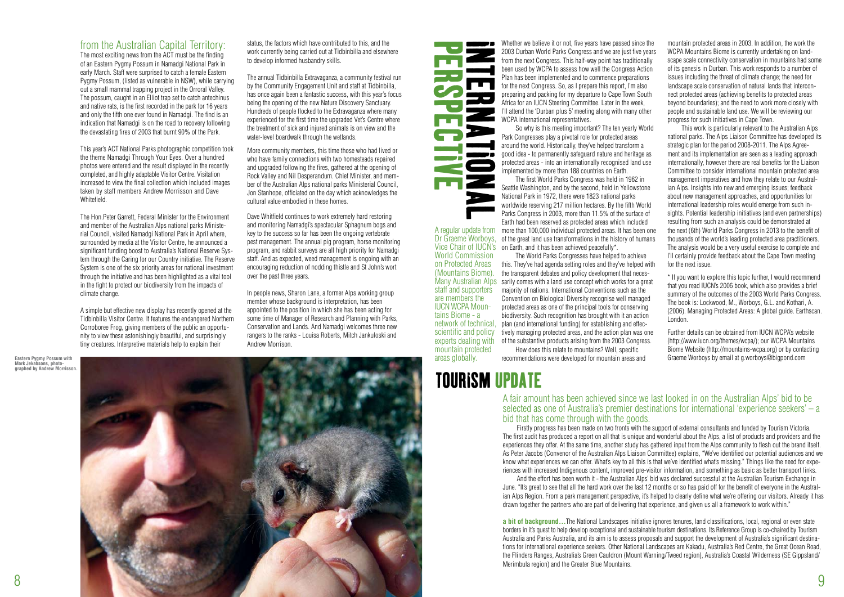from the Australian Capital Territory:

The most exciting news from the ACT must be the finding of an Eastern Pygmy Possum in Namadgi National Park in early March. Staff were surprised to catch a female Eastern Pygmy Possum, (listed as vulnerable in NSW), while carrying out a small mammal trapping project in the Orroral Valley. The possum, caught in an Elliot trap set to catch antechinus and native rats, is the first recorded in the park for 16 years and only the fifth one ever found in Namadgi. The find is an indication that Namadgi is on the road to recovery following the devastating fires of 2003 that burnt 90% of the Park.

This year's ACT National Parks photographic competition took the theme Namadgi Through Your Eyes. Over a hundred photos were entered and the result displayed in the recently completed, and highly adaptable Visitor Centre. Visitation increased to view the final collection which included images taken by staff members Andrew Morrisson and Dave Whitefield.

The Hon.Peter Garrett, Federal Minister for the Environment and member of the Australian Alps national parks Ministerial Council, visited Namadgi National Park in April where, surrounded by media at the Visitor Centre, he announced a significant funding boost to Australia's National Reserve System through the Caring for our Country initiative. The Reserve System is one of the six priority areas for national investment through the initiative and has been highlighted as a vital tool in the fight to protect our biodiversity from the impacts of climate change.

A simple but effective new display has recently opened at the Tidbinbilla Visitor Centre. It features the endangered Northern Corroboree Frog, giving members of the public an opportunity to view these astonishingly beautiful, and surprisingly tiny creatures. Interpretive materials help to explain their

status, the factors which have contributed to this, and the work currently being carried out at Tidbinbilla and elsewhere to develop informed husbandry skills.

The annual Tidbinbilla Extravaganza, a community festival run by the Community Engagement Unit and staff at Tidbinbilla, has once again been a fantastic success, with this year's focus being the opening of the new Nature Discovery Sanctuary. Hundreds of people flocked to the Extravaganza where many experienced for the first time the upgraded Vet's Centre where the treatment of sick and injured animals is on view and the water-level boardwalk through the wetlands.

> A regular update from more than 100,000 individual protected areas. It has been one Dr Graeme Worboys, of the great land use transformations in the history of humans Vice Chair of IUCN's on Earth, and it has been achieved peacefully\*. The first World Parks Congress was held in 1962 in Seattle Washington, and by the second, held in Yellowstone National Park in 1972, there were 1823 national parks worldwide reserving 217 million hectares. By the fifth World Parks Congress in 2003, more than 11.5% of the surface of Earth had been reserved as protected areas which included

More community members, this time those who had lived or who have family connections with two homesteads repaired and upgraded following the fires, gathered at the opening of Rock Valley and Nil Desperandum. Chief Minister, and member of the Australian Alps national parks Ministerial Council, Jon Stanhope, officiated on the day which acknowledges the cultural value embodied in these homes.

> Many Australian Alps sarily comes with a land use concept which works for a great The World Parks Congresses have helped to achieve this. They've had agenda setting roles and they've helped with the transparent debates and policy development that necesmajority of nations. International Conventions such as the Convention on Biological Diversity recognise well managed protected areas as one of the principal tools for conserving biodiversity. Such recognition has brought with it an action plan (and international funding) for establishing and effectively managing protected areas, and the action plan was one of the substantive products arising from the 2003 Congress. How does this relate to mountains? Well, specific

Dave Whitfield continues to work extremely hard restoring and monitoring Namadgi's spectacular Sphagnum bogs and key to the success so far has been the ongoing vertebrate pest management. The annual pig program, horse monitoring program, and rabbit surveys are all high priority for Namadgi staff. And as expected, weed management is ongoing with an encouraging reduction of nodding thistle and St John's wort over the past three years.

In people news, Sharon Lane, a former Alps working group member whose background is interpretation, has been appointed to the position in which she has been acting for some time of Manager of Research and Planning with Parks, Conservation and Lands. And Namadgi welcomes three new rangers to the ranks - Louisa Roberts, Mitch Jankuloski and Andrew Morrison.

Menter we believe the method from the next Consume Worker (see the set of the method by Plan has been used by Were a determined and perspecting and perspective the method of the first Congress are in the More of the method

World Commission on Protected Areas (Mountains Biome). staff and supporters are members the IUCN WCPA Mountains Biome - a network of technical, scientific and policy experts dealing with mountain protected areas globally.



Whether we believe it or not, five years have passed since the 2003 Durban World Parks Congress and we are just five years from the next Congress. This half-way point has traditionally been used by WCPA to assess how well the Congress Action Plan has been implemented and to commence preparations for the next Congress. So, as I prepare this report, I'm also preparing and packing for my departure to Cape Town South Africa for an IUCN Steering Committee. Later in the week, I'll attend the 'Durban plus 5' meeting along with many other WCPA international representatives.

So why is this meeting important? The ten yearly World Park Congresses play a pivotal role for protected areas around the world. Historically, they've helped transform a good idea - to permanently safeguard nature and heritage as protected areas - into an internationally recognised land use implemented by more than 188 countries on Earth.

recommendations were developed for mountain areas and

mountain protected areas in 2003. In addition, the work the WCPA Mountains Biome is currently undertaking on landscape scale connectivity conservation in mountains had some of its genesis in Durban. This work responds to a number of issues including the threat of climate change; the need for landscape scale conservation of natural lands that interconnect protected areas (achieving benefits to protected areas beyond boundaries); and the need to work more closely with people and sustainable land use. We will be reviewing our progress for such initiatives in Cape Town.

This work is particularly relevant to the Australian Alps national parks. The Alps Liaison Committee has developed its strategic plan for the period 2008-2011. The Alps Agreement and its implementation are seen as a leading approach internationally, however there are real benefits for the Liaison Committee to consider international mountain protected area management imperatives and how they relate to our Australian Alps. Insights into new and emerging issues: feedback about new management approaches, and opportunities for international leadership roles would emerge from such insights. Potential leadership initiatives (and even partnerships) resulting from such an analysis could be demonstrated at the next (6th) World Parks Congress in 2013 to the benefit of thousands of the world's leading protected area practitioners. The analysis would be a very useful exercise to complete and I'll certainly provide feedback about the Cape Town meeting for the next issue.

\* If you want to explore this topic further, I would recommend that you read IUCN's 2006 book, which also provides a brief summary of the outcomes of the 2003 World Parks Congress. The book is: Lockwood, M., Worboys, G.L. and Kothari, A. (2006). Managing Protected Areas: A global guide. Earthscan. London.

Further details can be obtained from IUCN WCPA's website (http://www.iucn.org/themes/wcpa/); our WCPA Mountains Biome Website (http://mountains-wcpa.org) or by contacting

### A fair amount has been achieved since we last looked in on the Australian Alps' bid to be selected as one of Australia's premier destinations for international 'experience seekers' – a bid that has come through with the goods.

Firstly progress has been made on two fronts with the support of external consultants and funded by Tourism Victoria. And the effort has been worth it - the Australian Alps' bid was declared successful at the Australian Tourism Exchange in

The first audit has produced a report on all that is unique and wonderful about the Alps, a list of products and providers and the experiences they offer. At the same time, another study has gathered input from the Alps community to flesh out the brand itself. As Peter Jacobs (Convenor of the Australian Alps Liaison Committee) explains, "We've identified our potential audiences and we know what experiences we can offer. What's key to all this is that we've identified what's missing." Things like the need for experiences with increased Indigenous content, improved pre-visitor information, and something as basic as better transport links. June. "It's great to see that all the hard work over the last 12 months or so has paid off for the benefit of everyone in the Australian Alps Region. From a park management perspective, it's helped to clearly define what we're offering our visitors. Already it has drawn together the partners who are part of delivering that experience, and given us all a framework to work within."

**a bit of background...**The National Landscapes initiative ignores tenures, land classifications, local, regional or even state borders in it's quest to help develop exceptional and sustainable tourism destinations. Its Reference Group is co-chaired by Tourism Australia and Parks Australia, and its aim is to assess proposals and support the development of Australia's significant destinations for international experience seekers. Other National Landscapes are Kakadu, Australia's Red Centre, the Great Ocean Road, the Flinders Ranges, Australia's Green Cauldron (Mount Warning/Tweed region), Australia's Coastal Wilderness (SE Gippsland/ Merimbula region) and the Greater Blue Mountains.

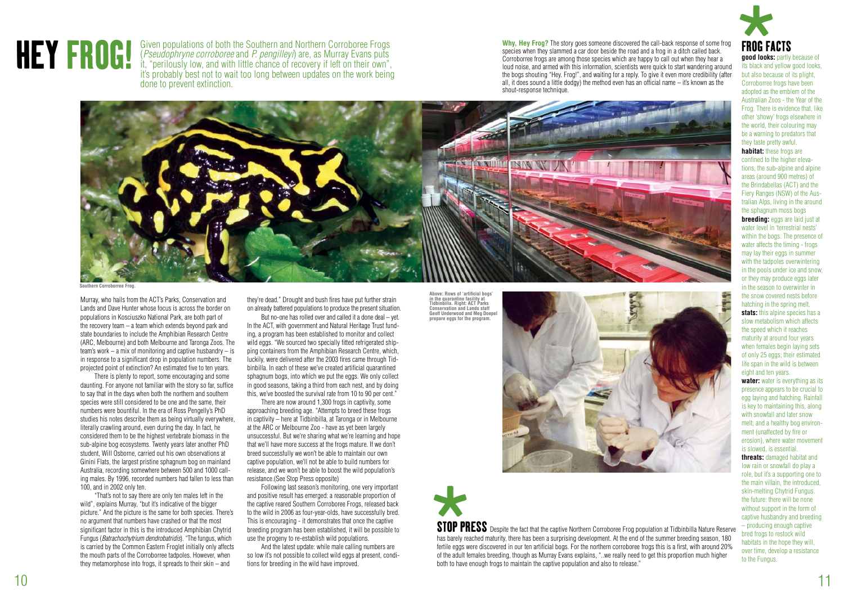Murray, who hails from the ACT's Parks, Conservation and Lands and Dave Hunter whose focus is across the border on populations in Kosciuszko National Park, are both part of the recovery team – a team which extends beyond park and state boundaries to include the Amphibian Research Centre (ARC, Melbourne) and both Melbourne and Taronga Zoos. The team's work – a mix of monitoring and captive husbandry – is in response to a significant drop in population numbers. The projected point of extinction? An estimated five to ten years.

There is plenty to report, some encouraging and some daunting. For anyone not familiar with the story so far, suffice to say that in the days when both the northern and southern species were still considered to be one and the same, their numbers were bountiful. In the era of Ross Pengelly's PhD studies his notes describe them as being virtually everywhere, literally crawling around, even during the day. In fact, he considered them to be the highest vertebrate biomass in the sub-alpine bog ecosystems. Twenty years later another PhD student, Will Osborne, carried out his own observations at Ginini Flats, the largest pristine sphagnum bog on mainland Australia, recording somewhere between 500 and 1000 calling males. By 1996, recorded numbers had fallen to less than 100, and in 2002 only ten.

"That's not to say there are only ten males left in the wild", explains Murray, "but it's indicative of the bigger picture." And the picture is the same for both species. There's no argument that numbers have crashed or that the most significant factor in this is the introduced Amphibian Chytrid Fungus (*Batrachochytrium dendrobatridis*). "The fungus, which is carried by the Common Eastern Froglet initially only affects the mouth parts of the Corroborree tadpoles. However, when they metamorphose into frogs, it spreads to their skin – and

Given populations of both the Southern and Northern Corroboree Frogs<br>
(*Pseudophryne corroboree* and *P. pengilleyi*) are, as Murray Evans puts<br>
it, "perilously low, and with little chance of recovery if left on their own" Given populations of both the Southern and Northern Corroboree Frogs (*Pseudophryne corroboree* and *P. pengilleyi*) are, as Murray Evans puts it, "perilously low, and with little chance of recovery if left on their own", it's probably best not to wait too long between updates on the work being done to prevent extinction.

**good looks:** partly because of its black and yellow good looks, but also because of its plight, Corroborree frogs have been adopted as the emblem of the Australian Zoos - the Year of the Frog. There is evidence that, like other 'showy' frogs elsewhere in the world, their colouring may be a warning to predators that they taste pretty awful. **habitat:** these frogs are confined to the higher elevations, the sub-alpine and alpine areas (around 900 metres) of the Brindabellas (ACT) and the Fiery Ranges (NSW) of the Australian Alps, living in the around the sphagnum moss bogs **breeding:** eggs are laid just at water level in 'terrestrial nests' within the bogs. The presence of water affects the timing - frogs may lay their eggs in summer with the tadpoles overwintering in the pools under ice and snow, or they may produce eggs later in the season to overwinter in the snow covered nests before hatching in the spring melt. **stats:** this alpine species has a slow metabolism which affects the speed which it reaches maturity at around four years when females begin laying sets of only 25 eggs; their estimated life span in the wild is between eight and ten years. **water:** water is everything as its presence appears to be crucial to egg laying and hatching. Rainfall is key to maintaining this, along with snowfall and later snow melt; and a healthy bog environment (unaffected by fire or erosion), where water movement is slowed, is essential. **threats:** damaged habitat and low rain or snowfall do play a role, but it's a supporting one to the main villain, the introduced, skin-melting Chytrid Fungus. the future: there will be none without support in the form of

captive husbandry and breeding – producing enough captive bred frogs to restock wild habitats in the hope they will, over time, develop a resistance to the Fungus.

they're dead." Drought and bush fires have put further strain on already battered populations to produce the present situation.

But no-one has rolled over and called it a done deal – yet. In the ACT, with government and Natural Heritage Trust funding, a program has been established to monitor and collect wild eggs. "We sourced two specially fitted refrigerated shipping containers from the Amphibian Research Centre, which, luckily, were delivered after the 2003 fires came through Tidbinbilla. In each of these we've created artificial quarantined sphagnum bogs, into which we put the eggs. We only collect in good seasons, taking a third from each nest, and by doing this, we've boosted the survival rate from 10 to 90 per cent."

There are now around 1,300 frogs in captivity, some approaching breeding age. "Attempts to breed these frogs in captivity – here at Tidbinbilla, at Taronga or in Melbourne at the ARC or Melbourne Zoo - have as yet been largely unsuccessful. But we're sharing what we're learning and hope that we'll have more success at the frogs mature. If we don't breed successfully we won't be able to maintain our own captive population, we'll not be able to build numbers for release, and we won't be able to boost the wild population's resistance.(See Stop Press opposite)

Following last season's monitoring, one very important and positive result has emerged: a reasonable proportion of the captive reared Southern Corroboree Frogs, released back to the wild in 2006 as four-year-olds, have successfully bred. This is encouraging - it demonstrates that once the captive breeding program has been established, it will be possible to use the progeny to re-establish wild populations.

And the latest update: while male calling numbers are so low it's not possible to collect wild eggs at present, conditions for breeding in the wild have improved.

**Why, Hey Frog?** The story goes someone discovered the call-back response of some frog species when they slammed a car door beside the road and a frog in a ditch called back. Corroborree frogs are among those species which are happy to call out when they hear a loud noise, and armed with this information, scientists were quick to start wandering around the bogs shouting "Hey. Frog!", and waiting for a reply. To give it even more credibility (after all, it does sound a little dodgy) the method even has an official name – it's known as the shout-response technique.





**Above: Rows of 'artificial bogs' in the quarantine facility at Tidbinbilla. Right: ACT Parks Conservation and Lands staff Geoff Underwood and Meg Doepel prepare eggs for the program.** 



**STOP PI**<br>has barely re<br>fertile eggs v<br>of the adult in STOP PRESS Despite the fact that the captive Northern Corroboree Frog population at Tidbinbilla Nature Reserve has barely reached maturity, there has been a surprising development. At the end of the summer breeding season, 180 fertile eggs were discovered in our ten artificial bogs. For the northern corroboree frogs this is a first, with around 20% of the adult females breeding, though as Murray Evans explains, "..we really need to get this proportion much higher both to have enough frogs to maintain the captive population and also to release."

**Southern Corroborree Frog.**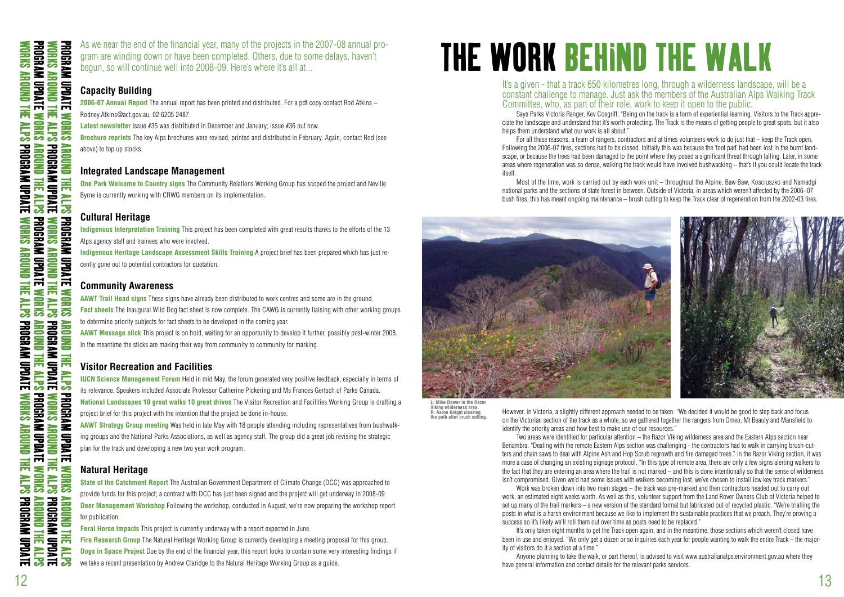

As we near the end of the financial year, many of the projects in the 2007-08 annual program are winding down or have been completed. Others, due to some delays, haven't begun, so will continue well into 2008-09. Here's where it's all at...

## **Capacity Building**

**2006-07 Annual Report** The annual report has been printed and distributed. For a pdf copy contact Rod Atkins – Rodney.Atkins@act.gov.au, 02 6205 2487.

**Latest newsletter** Issue #35 was distributed in December and January; issue #36 out now.

**AAWT Message stick** This project is on hold, waiting for an opportunity to develop it further, possibly post-winter 2008. In the meantime the sticks are making their way from community to community for marking.

**Brochure reprints** The key Alps brochures were revised, printed and distributed in February. Again, contact Rod (see above) to top up stocks.

## **Integrated Landscape Management**

**One Park Welcome to Country signs** The Community Relations Working Group has scoped the project and Neville Byrne is currently working with CRWG members on its implementation**.**

### **Cultural Heritage**

**Indigenous Interpretation Training** This project has been completed with great results thanks to the efforts of the 13 Alps agency staff and trainees who were involved.

**Indigenous Heritage Landscape Assessment Skills Training** A project brief has been prepared which has just recently gone out to potential contractors for quotation.

### **Community Awareness**

**AAWT Trail Head signs** These signs have already been distributed to work centres and some are in the ground. **Fact sheets** The inaugural Wild Dog fact sheet is now complete. The CAWG is currently liaising with other working groups to determine priority subjects for fact sheets to be developed in the coming year.

Says Parks Victoria Ranger, Kev Cosgriff, "Being on the track is a form of experiential learning. Visitors to the Track appreciate the landscape and understand that it's worth protecting. The Track is the means of getting people to great spots, but it also helps them understand what our work is all about."

## **Visitor Recreation and Facilities**

**IUCN Science Management Forum** Held in mid May, the forum generated very positive feedback, especially in terms of its relevance. Speakers included Associate Professor Catherine Pickering and Ms Frances Gertsch of Parks Canada. **National Landscapes 10 great walks 10 great drives** The Visitor Recreation and Facilities Working Group is drafting a

project brief for this project with the intention that the project be done in-house.

**AAWT Strategy Group meeting** Was held in late May with 18 people attending including representatives from bushwalking groups and the National Parks Associations, as well as agency staff. The group did a great job revising the strategic plan for the track and developing a new two year work program.

## **Natural Heritage**

**State of the Catchment Report** The Australian Government Department of Climate Change (DCC) was approached to provide funds for this project; a contract with DCC has just been signed and the project will get underway in 2008-09. **Deer Management Workshop** Following the workshop, conducted in August, we're now preparing the workshop report for publication.

**Feral Horse Impacts** This project is currently underway with a report expected in June.

**Fire Research Group** The Natural Heritage Working Group is currently developing a meeting proposal for this group. **Dogs in Space Project** Due by the end of the financial year, this report looks to contain some very interesting findings if we take a recent presentation by Andrew Claridge to the Natural Heritage Working Group as a guide.

### It's a given - that a track 650 kilometres long, through a wilderness landscape, will be a constant challenge to manage. Just ask the members of the Australian Alps Walking Track Committee, who, as part of their role, work to keep it open to the public.

For all these reasons, a team of rangers, contractors and at times volunteers work to do just that – keep the Track open. Following the 2006-07 fires, sections had to be closed. Initially this was because the 'foot pad' had been lost in the burnt landscape, or because the trees had been damaged to the point where they posed a significant threat through falling. Later, in some areas where regeneration was so dense, walking the track would have involved bushwacking – that's if you could locate the track itself.

Most of the time, work is carried out by each work unit – throughout the Alpine, Baw Baw, Kosciuszko and Namadgi national parks and the sections of state forest in between. Outside of Victoria, in areas which weren't affected by the 2006–07 bush fires, this has meant ongoing maintenance – brush cutting to keep the Track clear of regeneration from the 2002-03 fires.

However, in Victoria, a slightly different approach needed to be taken. "We decided it would be good to step back and focus on the Victorian section of the track as a whole, so we gathered together the rangers from Omeo, Mt Beauty and Mansfield to identify the priority areas and how best to make use of our resources."

Two areas were identified for particular attention – the Razor Viking wilderness area and the Eastern Alps section near Benambra. "Dealing with the remote Eastern Alps section was challenging - the contractors had to walk in carrying brush-cutters and chain saws to deal with Alpine Ash and Hop Scrub regrowth and fire damaged trees." In the Razor Viking section, it was more a case of changing an existing signage protocol. "In this type of remote area, there are only a few signs alerting walkers to the fact that they are entering an area where the trail is not marked – and this is done intentionally so that the sense of wilderness isn't compromised. Given we'd had some issues with walkers becoming lost, we've chosen to install low key track markers." Work was broken down into two main stages – the track was pre-marked and then contractors headed out to carry out work, an estimated eight weeks worth. As well as this, volunteer support from the Land Rover Owners Club of Victoria helped to set up many of the trail markers – a new version of the standard format but fabricated out of recycled plastic. "We're trialling the posts in what is a harsh environment because we like to implement the sustainable practices that we preach. They're proving a success so it's likely we'll roll them out over time as posts need to be replaced."

It's only taken eight months to get the Track open again, and in the meantime, those sections which weren't closed have been in use and enjoyed. "We only get a dozen or so inquiries each year for people wanting to walk the entire Track – the majority of visitors do it a section at a time."

Anyone planning to take the walk, or part thereof, is advised to visit www.australianalps.environment.gov.au where they have general information and contact details for the relevant parks services.

# THE WORK BEHIND THE WALK

**L: Mike Dower in the Razor Viking wilderness area. R: Aaron Knight clearing the path after brush cutting.**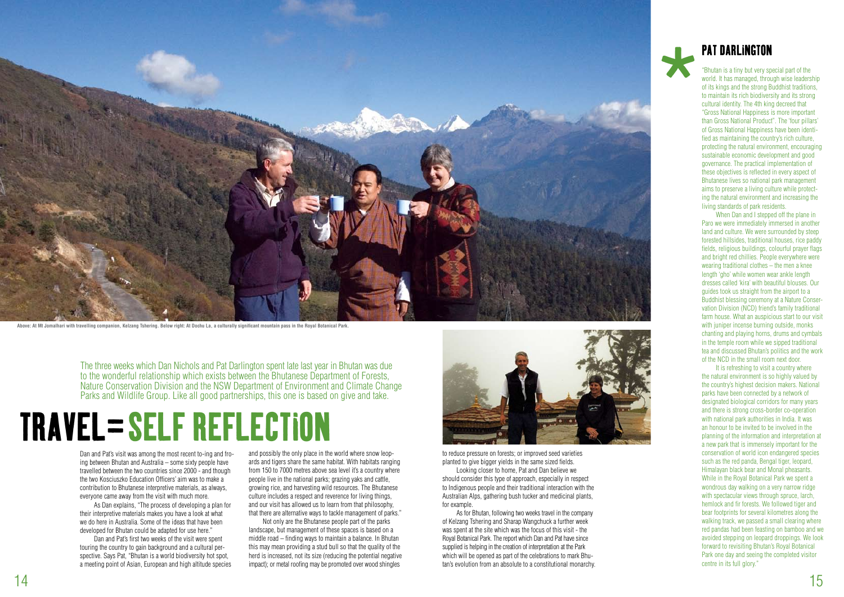Dan and Pat's visit was among the most recent to-ing and froing between Bhutan and Australia – some sixty people have travelled between the two countries since 2000 - and though the two Kosciuszko Education Officers' aim was to make a contribution to Bhutanese interpretive materials, as always, everyone came away from the visit with much more.

As Dan explains, "The process of developing a plan for their interpretive materials makes you have a look at what we do here in Australia. Some of the ideas that have been developed for Bhutan could be adapted for use here."

Dan and Pat's first two weeks of the visit were spent touring the country to gain background and a cultural perspective. Says Pat, "Bhutan is a world biodiversity hot spot, a meeting point of Asian, European and high altitude species

## TRAVEL=SELF REFLECTION

## PAT DARLINGTON

When Dan and I stepped off the plane in Paro we were immediately immersed in another land and culture. We were surrounded by steep forested hillsides, traditional houses, rice paddy fields, religious buildings, colourful prayer flags and bright red chillies. People everywhere were wearing traditional clothes – the men a knee length 'gho' while women wear ankle length dresses called 'kira' with beautiful blouses. Our guides took us straight from the airport to a Buddhist blessing ceremony at a Nature Conservation Division (NCD) friend's family traditional farm house. What an auspicious start to our visit with juniper incense burning outside, monks chanting and playing horns, drums and cymbals in the temple room while we sipped traditional tea and discussed Bhutan's politics and the work of the NCD in the small room next door.

"Bhutan is a tiny but very special part of the world. It has managed, through wise leadership of its kings and the strong Buddhist traditions, to maintain its rich biodiversity and its strong cultural identity. The 4th king decreed that "Gross National Happiness is more important than Gross National Product". The 'four pillars' of Gross National Happiness have been identified as maintaining the country's rich culture, protecting the natural environment, encouraging sustainable economic development and good governance. The practical implementation of these objectives is reflected in every aspect of Bhutanese lives so national park management aims to preserve a living culture while protecting the natural environment and increasing the living standards of park residents.

It is refreshing to visit a country where the natural environment is so highly valued by the country's highest decision makers. National parks have been connected by a network of designated biological corridors for many years and there is strong cross-border co-operation with national park authorities in India. It was an honour to be invited to be involved in the planning of the information and interpretation at a new park that is immensely important for the conservation of world icon endangered species such as the red panda, Bengal tiger, leopard, Himalayan black bear and Monal pheasants. While in the Royal Botanical Park we spent a wondrous day walking on a very narrow ridge with spectacular views through spruce, larch, hemlock and fir forests. We followed tiger and bear footprints for several kilometres along the walking track, we passed a small clearing where red pandas had been feasting on bamboo and we avoided stepping on leopard droppings. We look forward to revisiting Bhutan's Royal Botanical Park one day and seeing the completed visitor centre in its full glory."

and possibly the only place in the world where snow leopards and tigers share the same habitat. With habitats ranging from 150 to 7000 metres above sea level it's a country where people live in the national parks; grazing yaks and cattle, growing rice, and harvesting wild resources. The Bhutanese culture includes a respect and reverence for living things, and our visit has allowed us to learn from that philosophy, that there are alternative ways to tackle management of parks."

Not only are the Bhutanese people part of the parks landscape, but management of these spaces is based on a middle road – finding ways to maintain a balance. In Bhutan this may mean providing a stud bull so that the quality of the herd is increased, not its size (reducing the potential negative impact); or metal roofing may be promoted over wood shingles



to reduce pressure on forests; or improved seed varieties planted to give bigger yields in the same sized fields.

Looking closer to home, Pat and Dan believe we should consider this type of approach, especially in respect to Indigenous people and their traditional interaction with the Australian Alps, gathering bush tucker and medicinal plants, for example.

As for Bhutan, following two weeks travel in the company of Kelzang Tshering and Sharap Wangchuck a further week was spent at the site which was the focus of this visit - the Royal Botanical Park. The report which Dan and Pat have since supplied is helping in the creation of interpretation at the Park which will be opened as part of the celebrations to mark Bhutan's evolution from an absolute to a constitutional monarchy.

The three weeks which Dan Nichols and Pat Darlington spent late last year in Bhutan was due to the wonderful relationship which exists between the Bhutanese Department of Forests, Nature Conservation Division and the NSW Department of Environment and Climate Change Parks and Wildlife Group. Like all good partnerships, this one is based on give and take.





**Above: At Mt Jomalhari with travelling companion, Kelzang Tshering. Below right: At Dochu La, a culturally significant mountain pass in the Royal Botanical Park.**